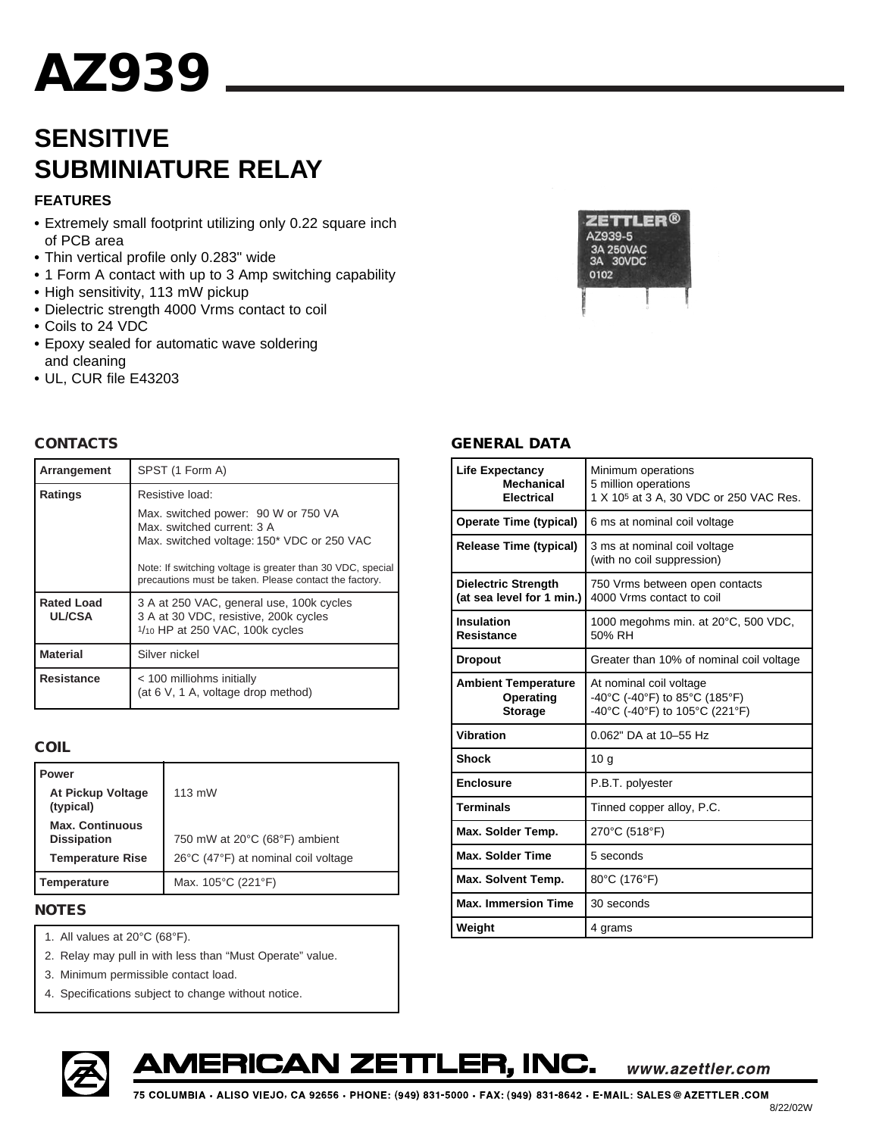# **SENSITIVE SUBMINIATURE RELAY**

## **FEATURES**

- **•** Extremely small footprint utilizing only 0.22 square inch of PCB area
- **•** Thin vertical profile only 0.283" wide
- **•** 1 Form A contact with up to 3 Amp switching capability
- **•** High sensitivity, 113 mW pickup
- **•** Dielectric strength 4000 Vrms contact to coil
- **•** Coils to 24 VDC
- **•** Epoxy sealed for automatic wave soldering and cleaning
- **•** UL, CUR file E43203

#### **CONTACTS**

| Arrangement                        | SPST (1 Form A)                                                                                                                                                                                                                         |  |  |  |
|------------------------------------|-----------------------------------------------------------------------------------------------------------------------------------------------------------------------------------------------------------------------------------------|--|--|--|
| <b>Ratings</b>                     | Resistive load:                                                                                                                                                                                                                         |  |  |  |
|                                    | Max. switched power: 90 W or 750 VA<br>Max. switched current: 3 A<br>Max. switched voltage: 150* VDC or 250 VAC<br>Note: If switching voltage is greater than 30 VDC, special<br>precautions must be taken. Please contact the factory. |  |  |  |
| <b>Rated Load</b><br><b>UL/CSA</b> | 3 A at 250 VAC, general use, 100k cycles<br>3 A at 30 VDC, resistive, 200k cycles<br>1/10 HP at 250 VAC, 100k cycles                                                                                                                    |  |  |  |
| <b>Material</b>                    | Silver nickel                                                                                                                                                                                                                           |  |  |  |
| Resistance                         | < 100 milliohms initially<br>(at 6 V, 1 A, voltage drop method)                                                                                                                                                                         |  |  |  |

## **COIL**

| <b>Power</b>                                 |                                     |
|----------------------------------------------|-------------------------------------|
| <b>At Pickup Voltage</b><br>(typical)        | $113$ mW                            |
| <b>Max. Continuous</b><br><b>Dissipation</b> | 750 mW at 20°C (68°F) ambient       |
| <b>Temperature Rise</b>                      | 26°C (47°F) at nominal coil voltage |
| Temperature                                  | Max. 105°C (221°F)                  |

#### **NOTES**

- 1. All values at 20°C (68°F).
- 2. Relay may pull in with less than "Must Operate" value.
- 3. Minimum permissible contact load.
- 4. Specifications subject to change without notice.



#### **GENERAL DATA**

| <b>Life Expectancy</b><br><b>Mechanical</b><br><b>Electrical</b> | Minimum operations<br>5 million operations<br>1 X 10 <sup>5</sup> at 3 A, 30 VDC or 250 VAC Res. |  |  |
|------------------------------------------------------------------|--------------------------------------------------------------------------------------------------|--|--|
| <b>Operate Time (typical)</b>                                    | 6 ms at nominal coil voltage                                                                     |  |  |
| <b>Release Time (typical)</b>                                    | 3 ms at nominal coil voltage<br>(with no coil suppression)                                       |  |  |
| <b>Dielectric Strength</b><br>(at sea level for 1 min.)          | 750 Vrms between open contacts<br>4000 Vrms contact to coil                                      |  |  |
| Insulation<br><b>Resistance</b>                                  | 1000 megohms min. at 20°C, 500 VDC,<br>50% RH                                                    |  |  |
| <b>Dropout</b>                                                   | Greater than 10% of nominal coil voltage                                                         |  |  |
| <b>Ambient Temperature</b><br>Operating<br><b>Storage</b>        | At nominal coil voltage<br>-40°C (-40°F) to 85°C (185°F)<br>-40°C (-40°F) to 105°C (221°F)       |  |  |
| Vibration                                                        | 0.062" DA at 10-55 Hz                                                                            |  |  |
| <b>Shock</b>                                                     | 10 <sub>g</sub>                                                                                  |  |  |
| <b>Enclosure</b>                                                 | P.B.T. polyester                                                                                 |  |  |
| <b>Terminals</b>                                                 | Tinned copper alloy, P.C.                                                                        |  |  |
| Max. Solder Temp.                                                | 270°C (518°F)                                                                                    |  |  |
| <b>Max. Solder Time</b>                                          | 5 seconds                                                                                        |  |  |
| Max. Solvent Temp.                                               | 80°C (176°F)                                                                                     |  |  |
| <b>Max. Immersion Time</b>                                       | 30 seconds                                                                                       |  |  |
| Weight                                                           | 4 grams                                                                                          |  |  |





www.azettler.com